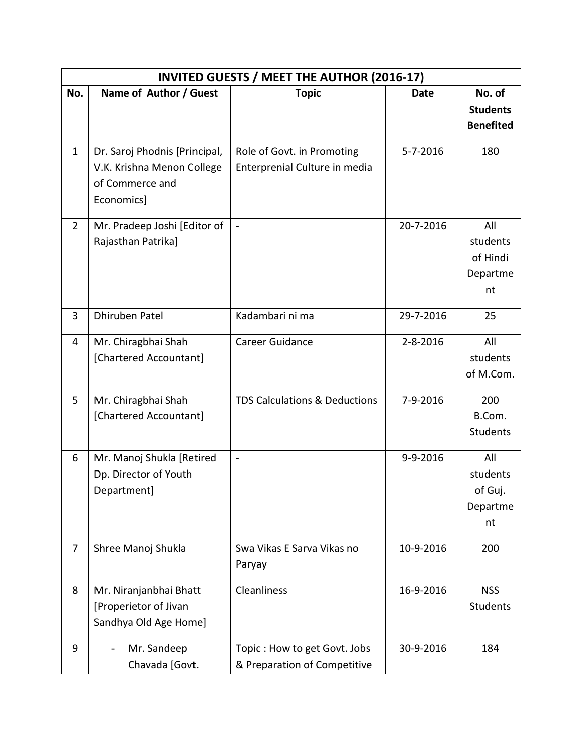| <b>INVITED GUESTS / MEET THE AUTHOR (2016-17)</b> |                                                                                              |                                                              |             |                                               |  |  |  |
|---------------------------------------------------|----------------------------------------------------------------------------------------------|--------------------------------------------------------------|-------------|-----------------------------------------------|--|--|--|
| No.                                               | Name of Author / Guest                                                                       | <b>Topic</b>                                                 | <b>Date</b> | No. of<br><b>Students</b><br><b>Benefited</b> |  |  |  |
| $\mathbf{1}$                                      | Dr. Saroj Phodnis [Principal,<br>V.K. Krishna Menon College<br>of Commerce and<br>Economics] | Role of Govt. in Promoting<br>Enterprenial Culture in media  | 5-7-2016    | 180                                           |  |  |  |
| $\overline{2}$                                    | Mr. Pradeep Joshi [Editor of<br>Rajasthan Patrika]                                           | $\blacksquare$                                               | 20-7-2016   | All<br>students<br>of Hindi<br>Departme<br>nt |  |  |  |
| 3                                                 | Dhiruben Patel                                                                               | Kadambari ni ma                                              | 29-7-2016   | 25                                            |  |  |  |
| 4                                                 | Mr. Chiragbhai Shah<br>[Chartered Accountant]                                                | Career Guidance                                              | 2-8-2016    | All<br>students<br>of M.Com.                  |  |  |  |
| 5                                                 | Mr. Chiragbhai Shah<br>[Chartered Accountant]                                                | <b>TDS Calculations &amp; Deductions</b>                     | 7-9-2016    | 200<br>B.Com.<br><b>Students</b>              |  |  |  |
| 6                                                 | Mr. Manoj Shukla [Retired<br>Dp. Director of Youth<br>Department]                            | $\blacksquare$                                               | 9-9-2016    | All<br>students<br>of Guj.<br>Departme<br>nt  |  |  |  |
| $\overline{7}$                                    | Shree Manoj Shukla                                                                           | Swa Vikas E Sarva Vikas no<br>Paryay                         | 10-9-2016   | 200                                           |  |  |  |
| 8                                                 | Mr. Niranjanbhai Bhatt<br>[Properietor of Jivan<br>Sandhya Old Age Home]                     | <b>Cleanliness</b>                                           | 16-9-2016   | <b>NSS</b><br><b>Students</b>                 |  |  |  |
| 9                                                 | Mr. Sandeep<br>$\overline{\phantom{0}}$<br>Chavada [Govt.                                    | Topic: How to get Govt. Jobs<br>& Preparation of Competitive | 30-9-2016   | 184                                           |  |  |  |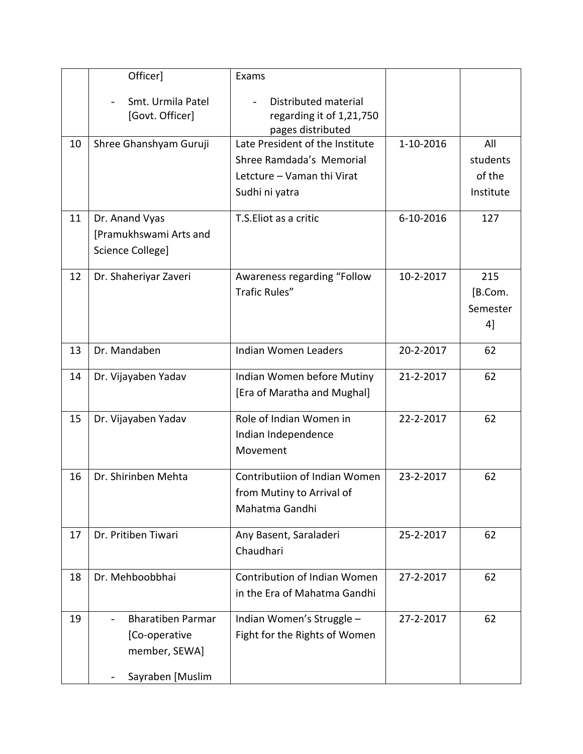|    | Officer]                                                                       | Exams                                                                                                       |           |                                        |
|----|--------------------------------------------------------------------------------|-------------------------------------------------------------------------------------------------------------|-----------|----------------------------------------|
|    | Smt. Urmila Patel<br>[Govt. Officer]                                           | Distributed material<br>regarding it of 1,21,750<br>pages distributed                                       |           |                                        |
| 10 | Shree Ghanshyam Guruji                                                         | Late President of the Institute<br>Shree Ramdada's Memorial<br>Letcture - Vaman thi Virat<br>Sudhi ni yatra | 1-10-2016 | All<br>students<br>of the<br>Institute |
| 11 | Dr. Anand Vyas<br>[Pramukhswami Arts and<br>Science College]                   | T.S. Eliot as a critic                                                                                      | 6-10-2016 | 127                                    |
| 12 | Dr. Shaheriyar Zaveri                                                          | Awareness regarding "Follow<br>Trafic Rules"                                                                | 10-2-2017 | 215<br>[B.Com.<br>Semester<br>4]       |
| 13 | Dr. Mandaben                                                                   | <b>Indian Women Leaders</b>                                                                                 | 20-2-2017 | 62                                     |
| 14 | Dr. Vijayaben Yadav                                                            | Indian Women before Mutiny<br>[Era of Maratha and Mughal]                                                   | 21-2-2017 | 62                                     |
| 15 | Dr. Vijayaben Yadav                                                            | Role of Indian Women in<br>Indian Independence<br>Movement                                                  | 22-2-2017 | 62                                     |
| 16 | Dr. Shirinben Mehta                                                            | Contributiion of Indian Women<br>from Mutiny to Arrival of<br>Mahatma Gandhi                                | 23-2-2017 | 62                                     |
| 17 | Dr. Pritiben Tiwari                                                            | Any Basent, Saraladeri<br>Chaudhari                                                                         | 25-2-2017 | 62                                     |
| 18 | Dr. Mehboobbhai                                                                | Contribution of Indian Women<br>in the Era of Mahatma Gandhi                                                | 27-2-2017 | 62                                     |
| 19 | <b>Bharatiben Parmar</b><br>[Co-operative<br>member, SEWA]<br>Sayraben [Muslim | Indian Women's Struggle -<br>Fight for the Rights of Women                                                  | 27-2-2017 | 62                                     |